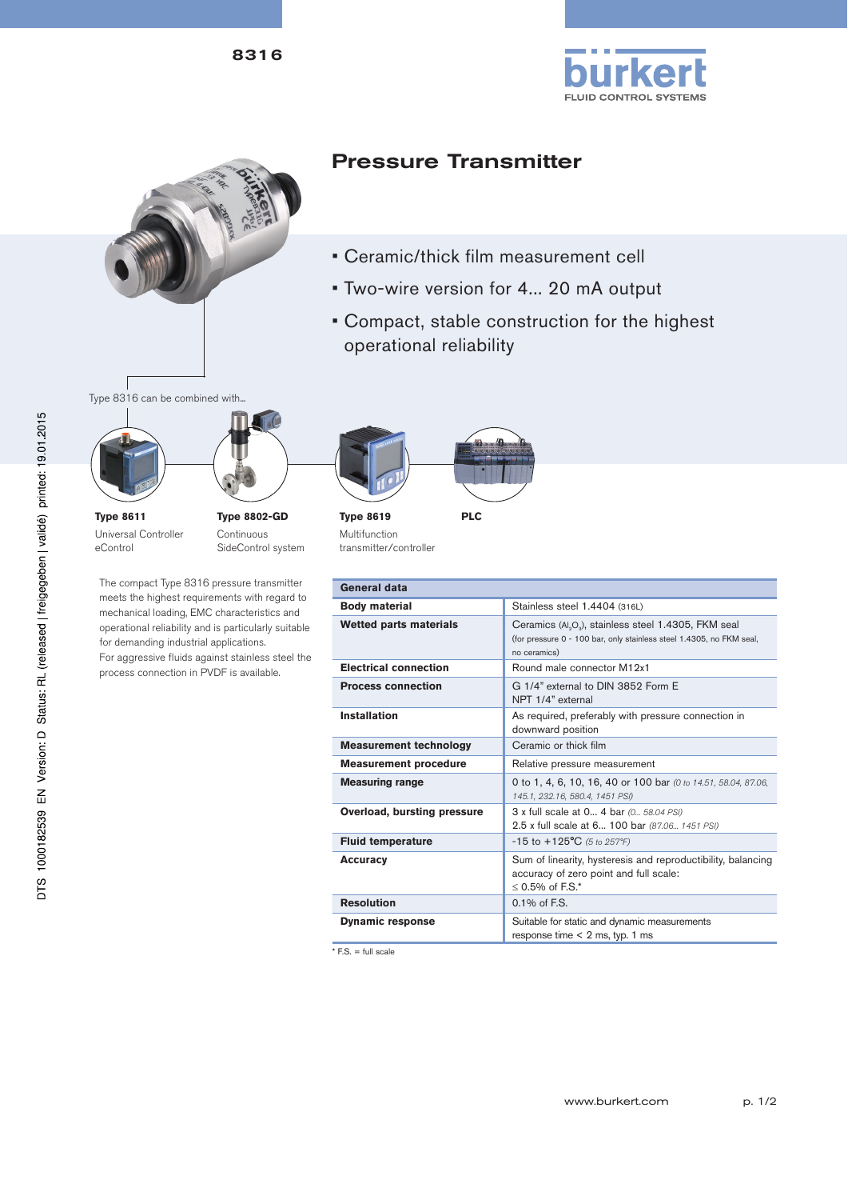





## Pressure Transmitter

- Ceramic/thick film measurement cell
- Two-wire version for 4... 20 mA output
- Compact, stable construction for the highest operational reliability

Type 8316 can be combined with...





Continuous SideControl system

The compact Type 8316 pressure transmitter meets the highest requirements with regard to mechanical loading, EMC characteristics and operational reliability and is particularly suitable for demanding industrial applications. For aggressive fluids against stainless steel the process connection in PVDF is available.



**Type 8619** Multifunction transmitter/controller

| General data                  |                                                                                                                                                                      |  |  |  |
|-------------------------------|----------------------------------------------------------------------------------------------------------------------------------------------------------------------|--|--|--|
| <b>Body material</b>          | Stainless steel 1.4404 (316L)                                                                                                                                        |  |  |  |
| <b>Wetted parts materials</b> | Ceramics (Al <sub>2</sub> O <sub>3</sub> ), stainless steel 1.4305, FKM seal<br>(for pressure 0 - 100 bar, only stainless steel 1.4305, no FKM seal,<br>no ceramics) |  |  |  |
| <b>Electrical connection</b>  | Round male connector M12x1                                                                                                                                           |  |  |  |
| <b>Process connection</b>     | G 1/4" external to DIN 3852 Form E<br>NPT 1/4" external                                                                                                              |  |  |  |
| <b>Installation</b>           | As required, preferably with pressure connection in<br>downward position                                                                                             |  |  |  |
| <b>Measurement technology</b> | Ceramic or thick film                                                                                                                                                |  |  |  |
| <b>Measurement procedure</b>  | Relative pressure measurement                                                                                                                                        |  |  |  |
| <b>Measuring range</b>        | 0 to 1, 4, 6, 10, 16, 40 or 100 bar (0 to 14.51, 58.04, 87.06,<br>145.1, 232.16, 580.4, 1451 PSI)                                                                    |  |  |  |
| Overload, bursting pressure   | 3 x full scale at 0 4 bar (0 58.04 PSI)<br>2.5 x full scale at 6 100 bar (87.06 1451 PSI)                                                                            |  |  |  |
| <b>Fluid temperature</b>      | $-15$ to $+125$ °C (5 to 257°F)                                                                                                                                      |  |  |  |
| <b>Accuracy</b>               | Sum of linearity, hysteresis and reproductibility, balancing<br>accuracy of zero point and full scale:<br>$< 0.5\%$ of F.S.*                                         |  |  |  |
| <b>Resolution</b>             | $0.1\%$ of F.S.                                                                                                                                                      |  |  |  |
| <b>Dynamic response</b>       | Suitable for static and dynamic measurements<br>response time $< 2$ ms, typ. 1 ms                                                                                    |  |  |  |

 $*$  F.S. = full scale